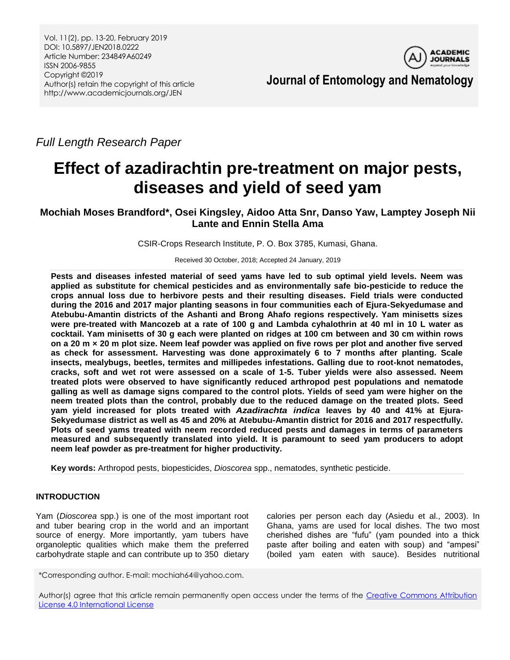Vol. 11(2), pp. 13-20, February 2019 DOI: 10.5897/JEN2018.0222 Article Number: 234849A60249 ISSN 2006-9855 Copyright ©2019 Author(s) retain the copyright of this article http://www.academicjournals.org/JEN



**Journal of Entomology and Nematology**

*Full Length Research Paper*

# **Effect of azadirachtin pre-treatment on major pests, diseases and yield of seed yam**

## **Mochiah Moses Brandford\*, Osei Kingsley, Aidoo Atta Snr, Danso Yaw, Lamptey Joseph Nii Lante and Ennin Stella Ama**

CSIR-Crops Research Institute, P. O. Box 3785, Kumasi, Ghana.

Received 30 October, 2018; Accepted 24 January, 2019

**Pests and diseases infested material of seed yams have led to sub optimal yield levels. Neem was applied as substitute for chemical pesticides and as environmentally safe bio-pesticide to reduce the crops annual loss due to herbivore pests and their resulting diseases. Field trials were conducted during the 2016 and 2017 major planting seasons in four communities each of Ejura-Sekyedumase and Atebubu-Amantin districts of the Ashanti and Brong Ahafo regions respectively. Yam minisetts sizes were pre-treated with Mancozeb at a rate of 100 g and Lambda cyhalothrin at 40 ml in 10 L water as cocktail. Yam minisetts of 30 g each were planted on ridges at 100 cm between and 30 cm within rows on a 20 m × 20 m plot size. Neem leaf powder was applied on five rows per plot and another five served as check for assessment. Harvesting was done approximately 6 to 7 months after planting. Scale insects, mealybugs, beetles, termites and millipedes infestations. Galling due to root-knot nematodes, cracks, soft and wet rot were assessed on a scale of 1-5. Tuber yields were also assessed. Neem treated plots were observed to have significantly reduced arthropod pest populations and nematode galling as well as damage signs compared to the control plots. Yields of seed yam were higher on the neem treated plots than the control, probably due to the reduced damage on the treated plots. Seed yam yield increased for plots treated with** *Azadirachta indica* **leaves by 40 and 41% at Ejura-Sekyedumase district as well as 45 and 20% at Atebubu-Amantin district for 2016 and 2017 respectfully. Plots of seed yams treated with neem recorded reduced pests and damages in terms of parameters measured and subsequently translated into yield. It is paramount to seed yam producers to adopt neem leaf powder as pre-treatment for higher productivity.**

**Key words:** Arthropod pests, biopesticides, *Dioscorea* spp., nematodes, synthetic pesticide.

## **INTRODUCTION**

Yam (*Dioscorea* spp.) is one of the most important root and tuber bearing crop in the world and an important source of energy. More importantly, yam tubers have organoleptic qualities which make them the preferred carbohydrate staple and can contribute up to 350 dietary calories per person each day (Asiedu et al., 2003). In Ghana, yams are used for local dishes. The two most cherished dishes are "fufu" (yam pounded into a thick paste after boiling and eaten with soup) and "ampesi" (boiled yam eaten with sauce). Besides nutritional

\*Corresponding author. E-mail: mochiah64@yahoo.com.

Author(s) agree that this article remain permanently open access under the terms of the Creative Commons Attribution [License 4.0 International License](http://creativecommons.org/licenses/by/4.0/deed.en_US)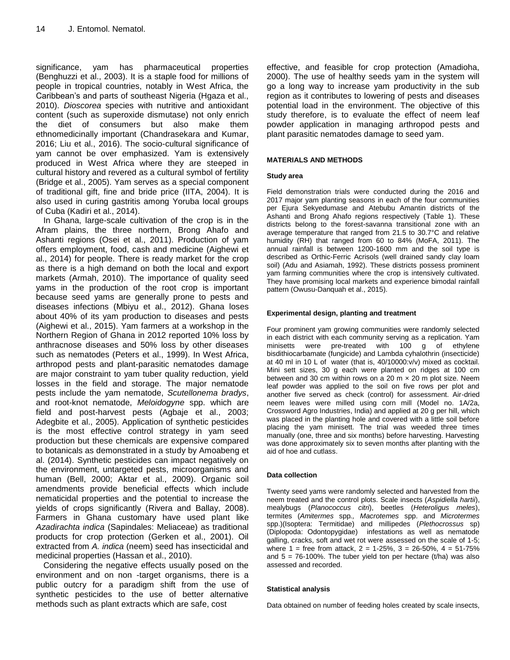significance, yam has pharmaceutical properties (Benghuzzi et al., 2003). It is a staple food for millions of people in tropical countries, notably in West Africa, the Caribbean's and parts of southeast Nigeria (Hgaza et al., 2010). *Dioscorea* species with nutritive and antioxidant content (such as superoxide dismutase) not only enrich the diet of consumers but also make them ethnomedicinally important (Chandrasekara and Kumar, 2016; Liu et al., 2016). The socio-cultural significance of yam cannot be over emphasized. Yam is extensively produced in West Africa where they are steeped in cultural history and revered as a cultural symbol of fertility (Bridge et al., 2005). Yam serves as a special component of traditional gift, fine and bride price (IITA, 2004). It is also used in curing gastritis among Yoruba local groups of Cuba (Kadiri et al., 2014).

In Ghana, large-scale cultivation of the crop is in the Afram plains, the three northern, Brong Ahafo and Ashanti regions (Osei et al., 2011). Production of yam offers employment, food, cash and medicine (Aighewi et al., 2014) for people. There is ready market for the crop as there is a high demand on both the local and export markets (Armah, 2010). The importance of quality seed yams in the production of the root crop is important because seed yams are generally prone to pests and diseases infections (Mbiyu et al., 2012). Ghana loses about 40% of its yam production to diseases and pests (Aighewi et al., 2015). Yam farmers at a workshop in the Northern Region of Ghana in 2012 reported 10% loss by anthracnose diseases and 50% loss by other diseases such as nematodes (Peters et al., 1999). In West Africa, arthropod pests and plant-parasitic nematodes damage are major constraint to yam tuber quality reduction, yield losses in the field and storage. The major nematode pests include the yam nematode, *Scutellonema bradys*, and root-knot nematode, *Meloidogyne* spp. which are field and post-harvest pests (Agbaje et al., 2003; Adegbite et al., 2005). Application of synthetic pesticides is the most effective control strategy in yam seed production but these chemicals are expensive compared to botanicals as demonstrated in a study by Amoabeng et al. (2014). Synthetic pesticides can impact negatively on the environment, untargeted pests, microorganisms and human (Bell, 2000; Aktar et al., 2009). Organic soil amendments provide beneficial effects which include nematicidal properties and the potential to increase the yields of crops significantly (Rivera and Ballay, 2008). Farmers in Ghana customary have used plant like *Azadirachta indica* (Sapindales: Meliaceae) as traditional products for crop protection (Gerken et al., 2001). Oil extracted from *A. indica* (neem) seed has insecticidal and medicinal properties (Hassan et al., 2010).

Considering the negative effects usually posed on the environment and on non -target organisms, there is a public outcry for a paradigm shift from the use of synthetic pesticides to the use of better alternative methods such as plant extracts which are safe, cost

effective, and feasible for crop protection (Amadioha, 2000). The use of healthy seeds yam in the system will go a long way to increase yam productivity in the sub region as it contributes to lowering of pests and diseases potential load in the environment. The objective of this study therefore, is to evaluate the effect of neem leaf powder application in managing arthropod pests and plant parasitic nematodes damage to seed yam.

#### **MATERIALS AND METHODS**

#### **Study area**

Field demonstration trials were conducted during the 2016 and 2017 major yam planting seasons in each of the four communities per Ejura Sekyedumase and Atebubu Amantin districts of the Ashanti and Brong Ahafo regions respectively (Table 1). These districts belong to the forest-savanna transitional zone with an average temperature that ranged from 21.5 to 30.7°C and relative humidity (RH) that ranged from 60 to 84% (MoFA, 2011). The annual rainfall is between 1200-1600 mm and the soil type is described as Orthic-Ferric Acrisols (well drained sandy clay loam soil) (Adu and Asiamah, 1992). These districts possess prominent yam farming communities where the crop is intensively cultivated. They have promising local markets and experience bimodal rainfall pattern (Owusu-Danquah et al., 2015).

#### **Experimental design, planting and treatment**

Four prominent yam growing communities were randomly selected in each district with each community serving as a replication. Yam<br>minisetts were pre-treated with 100 g of ethylene minisetts were pre-treated with 100 g of ethylene bisdithiocarbamate (fungicide) and Lambda cyhalothrin (insecticide) at 40 ml in 10 L of water (that is, 40/10000:v/v) mixed as cocktail. Mini sett sizes, 30 g each were planted on ridges at 100 cm between and 30 cm within rows on a 20 m  $\times$  20 m plot size. Neem leaf powder was applied to the soil on five rows per plot and another five served as check (control) for assessment. Air-dried neem leaves were milled using corn mill (Model no. 1A/2a, Crossword Agro Industries, India) and applied at 20 g per hill, which was placed in the planting hole and covered with a little soil before placing the yam minisett. The trial was weeded three times manually (one, three and six months) before harvesting. Harvesting was done approximately six to seven months after planting with the aid of hoe and cutlass.

#### **Data collection**

Twenty seed yams were randomly selected and harvested from the neem treated and the control plots. Scale insects (*Aspidiella hartii*), mealybugs (*Planococcus citri*), beetles (*Heteroligus meles*), termites (*Amitermes* spp*., Macrotemes* spp. and *Microtermes*  spp.)(Isoptera: Termitidae) and millipedes (*Plethocrossus* sp) (Diplopoda: Odontopygidae) infestations as well as nematode galling, cracks, soft and wet rot were assessed on the scale of 1-5; where  $1 =$  free from attack,  $2 = 1-25\%$ ,  $3 = 26-50\%$ ,  $4 = 51-75\%$ and  $5 = 76-100\%$ . The tuber yield ton per hectare (t/ha) was also assessed and recorded.

#### **Statistical analysis**

Data obtained on number of feeding holes created by scale insects,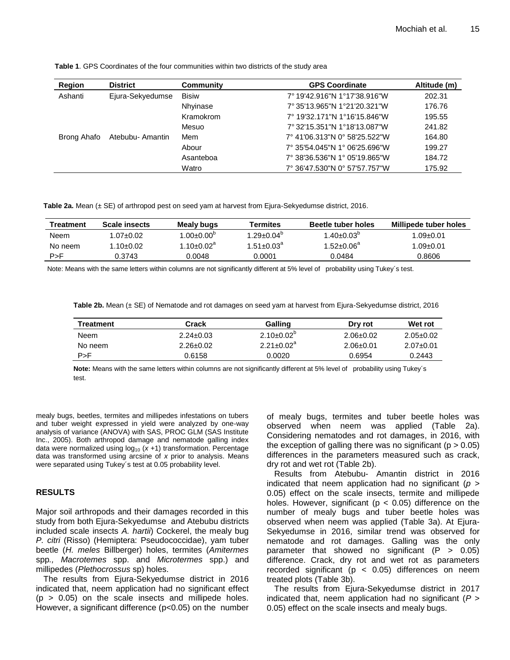| <b>Region</b> | <b>District</b>  | Community    | <b>GPS Coordinate</b>         | Altitude (m) |
|---------------|------------------|--------------|-------------------------------|--------------|
| Ashanti       | Ejura-Sekyedumse | <b>Bisiw</b> | 7° 19'42.916"N 1°17'38.916"W  | 202.31       |
|               |                  | Nhyinase     | 7° 35'13.965"N 1°21'20.321"W  | 176.76       |
|               |                  | Kramokrom    | 7° 19'32.171"N 1°16'15.846"W  | 195.55       |
|               |                  | Mesuo        | 7° 32'15.351"N 1°18'13.087"W  | 241.82       |
| Brong Ahafo   | Atebubu- Amantin | Mem          | 7° 41'06.313"N 0° 58'25.522"W | 164.80       |
|               |                  | Abour        | 7° 35'54.045"N 1° 06'25.696"W | 199.27       |
|               |                  | Asanteboa    | 7° 38'36.536"N 1° 05'19.865"W | 184.72       |
|               |                  | Watro        | 7° 36'47.530"N 0° 57'57.757"W | 175.92       |

**Table 1**. GPS Coordinates of the four communities within two districts of the study area

**Table 2a.** Mean (± SE) of arthropod pest on seed yam at harvest from Ejura-Sekyedumse district, 2016.

| Treatment | Scale insects | Mealy bugs                 | Termites              | <b>Beetle tuber holes</b> | Millipede tuber holes |
|-----------|---------------|----------------------------|-----------------------|---------------------------|-----------------------|
| Neem      | 0.0710.02     | $0.00 \pm 0.00^6$          | $1.29{\pm}0.04^\circ$ | $1.40 \pm 0.03^{\circ}$   | 09±0.01. ا            |
| No neem   | 1.10+0.02.    | $1.10 \pm 0.02^{\text{a}}$ | $1.51 + 0.03^{\circ}$ | $1.52 \pm 0.06^{\circ}$   | 09±0.01. ا            |
| P > F     | 0.3743        | 0.0048                     | 0.0001                | 0.0484                    | 0.8606                |

Note: Means with the same letters within columns are not significantly different at 5% level of probability using Tukey´s test.

**Table 2b.** Mean (± SE) of Nematode and rot damages on seed yam at harvest from Ejura-Sekyedumse district, 2016

| <b>Treatment</b> | Crack           | Galling           | Dry rot         | Wet rot         |
|------------------|-----------------|-------------------|-----------------|-----------------|
| Neem             | $2.24 \pm 0.03$ | $2.10\pm0.02^{p}$ | $2.06 \pm 0.02$ | $2.05 \pm 0.02$ |
| No neem          | $2.26 \pm 0.02$ | $2.21 + 0.02a$    | $2.06 \pm 0.01$ | $2.07 \pm 0.01$ |
| P > F            | 0.6158          | 0.0020            | 0.6954          | 0.2443          |

**Note:** Means with the same letters within columns are not significantly different at 5% level of probability using Tukey´s test.

mealy bugs, beetles, termites and millipedes infestations on tubers and tuber weight expressed in yield were analyzed by one-way analysis of variance (ANOVA) with SAS, PROC GLM (SAS Institute Inc., 2005). Both arthropod damage and nematode galling index data were normalized using  $log_{10}$   $(x + 1)$  transformation. Percentage data was transformed using arcsine of *x* prior to analysis. Means were separated using Tukey´s test at 0.05 probability level.

## **RESULTS**

Major soil arthropods and their damages recorded in this study from both Ejura-Sekyedumse and Atebubu districts included scale insects *A. hartii*) Cockerel, the mealy bug *P. citri* (Risso) (Hemiptera: Pseudococcidae), yam tuber beetle (*H. meles* Billberger) holes, termites (*Amitermes*  spp*., Macrotemes* spp. and *Microtermes* spp.) and millipedes (*Plethocrossus* sp) holes.

The results from Ejura-Sekyedumse district in 2016 indicated that, neem application had no significant effect  $(p > 0.05)$  on the scale insects and millipede holes. However, a significant difference (p<0.05) on the number of mealy bugs, termites and tuber beetle holes was observed when neem was applied (Table 2a). Considering nematodes and rot damages, in 2016, with the exception of galling there was no significant ( $p > 0.05$ ) differences in the parameters measured such as crack, dry rot and wet rot (Table 2b).

Results from Atebubu- Amantin district in 2016 indicated that neem application had no significant (*p* > 0.05) effect on the scale insects, termite and millipede holes. However, significant ( $p < 0.05$ ) difference on the number of mealy bugs and tuber beetle holes was observed when neem was applied (Table 3a). At Ejura-Sekyedumse in 2016, similar trend was observed for nematode and rot damages. Galling was the only parameter that showed no significant  $(P > 0.05)$ difference. Crack, dry rot and wet rot as parameters recorded significant ( $p < 0.05$ ) differences on neem treated plots (Table 3b).

The results from Ejura-Sekyedumse district in 2017 indicated that, neem application had no significant (*P* > 0.05) effect on the scale insects and mealy bugs.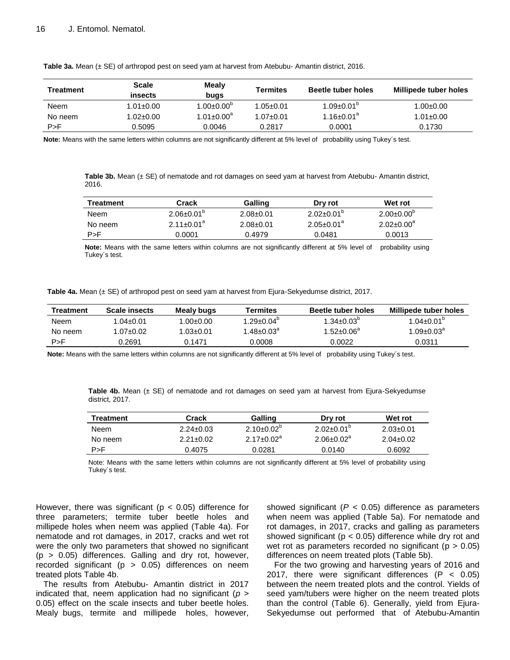| Treatment | Scale<br>insects | Mealy<br>bugs              | <b>Termites</b> | <b>Beetle tuber holes</b>    | Millipede tuber holes |
|-----------|------------------|----------------------------|-----------------|------------------------------|-----------------------|
| Neem      | $1.01 \pm 0.00$  | 1.00 $\pm$ 0.00 $^{\circ}$ | $1.05 \pm 0.01$ | $1.09 \pm 0.01^{\circ}$      | 1.00±0.00             |
| No neem   | $1.02 \pm 0.00$  | 1.01 $\pm$ 0.00 $^{\rm a}$ | $1.07 \pm 0.01$ | $1.16 \pm 0.01$ <sup>a</sup> | $1.01 \pm 0.00$       |
| P > F     | 0.5095           | 0.0046                     | 0.2817          | 0.0001                       | 0.1730                |

**Table 3a.** Mean (± SE) of arthropod pest on seed yam at harvest from Atebubu- Amantin district, 2016.

**Note:** Means with the same letters within columns are not significantly different at 5% level of probability using Tukey´s test.

Table 3b. Mean (± SE) of nematode and rot damages on seed yam at harvest from Atebubu- Amantin district, 2016.

| Treatment | Crack                   | Galling         | Dry rot                 | Wet rot                 |
|-----------|-------------------------|-----------------|-------------------------|-------------------------|
| Neem      | $2.06 \pm 0.01^{\circ}$ | $2.08 \pm 0.01$ | $2.02 \pm 0.01^{\circ}$ | $2.00 \pm 0.00^{\circ}$ |
| No neem   | $2.11+0.01^a$           | $2.08 \pm 0.01$ | $2.05 \pm 0.01^a$       | $2.02 \pm 0.00^a$       |
| P > F     | 0.0001                  | 0.4979          | 0.0481                  | 0.0013                  |

**Note:** Means with the same letters within columns are not significantly different at 5% level of probability using Tukey´s test.

**Table 4a.** Mean (± SE) of arthropod pest on seed yam at harvest from Ejura-Sekyedumse district, 2017.

| Treatment | Scale insects | Mealy bugs  | Termites                | Beetle tuber holes      | Millipede tuber holes   |
|-----------|---------------|-------------|-------------------------|-------------------------|-------------------------|
| Neem      | 1.04±0.01     | 00.0±0.00.l | $1.29 \pm 0.04^{\circ}$ | $1.34 \pm 0.03^{\circ}$ | $1.04 \pm 0.01^{\circ}$ |
| No neem   | 1.07±0.02     | 1.03±0.01   | $1.48 \pm 0.03^{\circ}$ | $1.52 \pm 0.06^{\circ}$ | $1.09 \pm 0.03$ ª       |
| P > F     | ነ.2691        | 0.1471      | 0.0008                  | 0.0022                  | 0.0311                  |

**Note:** Means with the same letters within columns are not significantly different at 5% level of probability using Tukey´s test.

**Table 4b.** Mean (± SE) of nematode and rot damages on seed yam at harvest from Ejura-Sekyedumse district, 2017.

| <b>Treatment</b> | Crack           | <b>Galling</b>        | Dry rot                 | Wet rot         |
|------------------|-----------------|-----------------------|-------------------------|-----------------|
| Neem             | $2.24 \pm 0.03$ | $2.10\pm0.02^{\circ}$ | $2.02 \pm 0.01^{\circ}$ | $2.03 \pm 0.01$ |
| No neem          | $2.21 + 0.02$   | $2.17 + 0.02a$        | $2.06 + 0.02a$          | $2.04 + 0.02$   |
| P > F            | 0.4075          | 0.0281                | 0.0140                  | 0.6092          |

Note: Means with the same letters within columns are not significantly different at 5% level of probability using Tukey´s test.

However, there was significant ( $p < 0.05$ ) difference for three parameters; termite tuber beetle holes and millipede holes when neem was applied (Table 4a). For nematode and rot damages, in 2017, cracks and wet rot were the only two parameters that showed no significant  $(p > 0.05)$  differences. Galling and dry rot, however, recorded significant ( $p > 0.05$ ) differences on neem treated plots Table 4b.

The results from Atebubu- Amantin district in 2017 indicated that, neem application had no significant (*p* > 0.05) effect on the scale insects and tuber beetle holes. Mealy bugs, termite and millipede holes, however, showed significant (*P* < 0.05) difference as parameters when neem was applied (Table 5a). For nematode and rot damages, in 2017, cracks and galling as parameters showed significant ( $p < 0.05$ ) difference while dry rot and wet rot as parameters recorded no significant ( $p > 0.05$ ) differences on neem treated plots (Table 5b).

For the two growing and harvesting years of 2016 and 2017, there were significant differences  $(P < 0.05)$ between the neem treated plots and the control. Yields of seed yam/tubers were higher on the neem treated plots than the control (Table 6). Generally, yield from Ejura-Sekyedumse out performed that of Atebubu-Amantin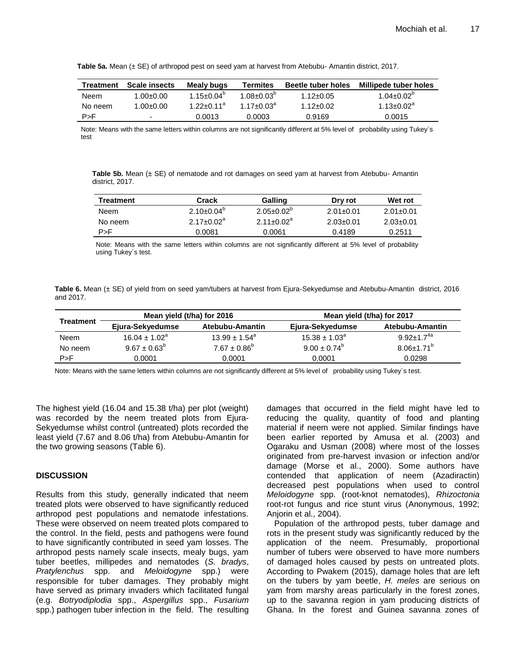**Table 5a.** Mean (± SE) of arthropod pest on seed yam at harvest from Atebubu- Amantin district, 2017.

| <b>Treatment</b> | <b>Scale insects</b> | Mealy bugs             | Termites              | <b>Beetle tuber holes</b> | Millipede tuber holes |
|------------------|----------------------|------------------------|-----------------------|---------------------------|-----------------------|
| Neem             | $1.00 \pm 0.00$      | $1.15 + 0.04^{\circ}$  | $1.08 + 0.03^{\circ}$ | $1.12 \pm 0.05$           | $1.04 + 0.02^b$       |
| No neem          | $1.00 + 0.00$        | 1 22+0 11 <sup>a</sup> | 1 17+0 $0.3^{\circ}$  | $1.12 + 0.02$             | $1.13 + 0.02^a$       |
| P > F            | -                    | 0.0013                 | 0.0003                | 0.9169                    | 0.0015                |

Note: Means with the same letters within columns are not significantly different at 5% level of probability using Tukey´s test

**Table 5b.** Mean (± SE) of nematode and rot damages on seed yam at harvest from Atebubu- Amantin district, 2017.

| <b>Treatment</b> | Crack                 | Galling                 | Dry rot         | Wet rot         |
|------------------|-----------------------|-------------------------|-----------------|-----------------|
| Neem             | $2.10\pm0.04^{\circ}$ | $2.05 \pm 0.02^{\circ}$ | $2.01 \pm 0.01$ | $2.01 + 0.01$   |
| No neem          | $2.17 + 0.02a$        | $2.11+0.02^a$           | $2.03 \pm 0.01$ | $2.03 \pm 0.01$ |
| P > F            | 0.0081                | 0.0061                  | 0.4189          | 0.2511          |

Note: Means with the same letters within columns are not significantly different at 5% level of probability using Tukey´s test.

Table 6. Mean (± SE) of yield from on seed yam/tubers at harvest from Ejura-Sekyedumse and Atebubu-Amantin district, 2016 and 2017.

|           | Mean yield (t/ha) for 2016 |                          | Mean yield (t/ha) for 2017 |                   |
|-----------|----------------------------|--------------------------|----------------------------|-------------------|
| Treatment | Ejura-Sekyedumse           | Atebubu-Amantin          | Ejura-Sekyedumse           | Atebubu-Amantin   |
| Neem      | $16.04 \pm 1.02^a$         | $13.99 \pm 1.54^{\circ}$ | $15.38 \pm 1.03^a$         | $9.92 + 1.7^{4a}$ |
| No neem   | $9.67 \pm 0.63^b$          | $7.67 \pm 0.86^b$        | $9.00 \pm 0.74^b$          | $8.06 \pm 1.71^b$ |
| P > F     | 0.0001                     | 0.0001                   | 0.0001                     | 0.0298            |
|           |                            |                          |                            |                   |

Note: Means with the same letters within columns are not significantly different at 5% level of probability using Tukey´s test.

The highest yield (16.04 and 15.38 t/ha) per plot (weight) was recorded by the neem treated plots from Ejura-Sekyedumse whilst control (untreated) plots recorded the least yield (7.67 and 8.06 t/ha) from Atebubu-Amantin for the two growing seasons (Table 6).

#### **DISCUSSION**

Results from this study, generally indicated that neem treated plots were observed to have significantly reduced arthropod pest populations and nematode infestations. These were observed on neem treated plots compared to the control. In the field, pests and pathogens were found to have significantly contributed in seed yam losses. The arthropod pests namely scale insects, mealy bugs, yam tuber beetles, millipedes and nematodes (*S. bradys*, *Pratylenchus* spp. and *Meloidogyne* spp.) were responsible for tuber damages. They probably might have served as primary invaders which facilitated fungal (e.g. *Botryodiplodia* spp., *Aspergillus* spp., *Fusarium*  spp.) pathogen tuber infection in the field. The resulting damages that occurred in the field might have led to reducing the quality, quantity of food and planting material if neem were not applied. Similar findings have been earlier reported by Amusa et al. (2003) and Ogaraku and Usman (2008) where most of the losses originated from pre-harvest invasion or infection and/or damage (Morse et al., 2000). Some authors have contended that application of neem (Azadiractin) decreased pest populations when used to control *Meloidogyne* spp. (root-knot nematodes), *Rhizoctonia* root-rot fungus and rice stunt virus (Anonymous, 1992; Anjorin et al., 2004).

Population of the arthropod pests, tuber damage and rots in the present study was significantly reduced by the application of the neem. Presumably, proportional number of tubers were observed to have more numbers of damaged holes caused by pests on untreated plots. According to Pwakem (2015), damage holes that are left on the tubers by yam beetle, *H. meles* are serious on yam from marshy areas particularly in the forest zones, up to the savanna region in yam producing districts of Ghana. In the forest and Guinea savanna zones of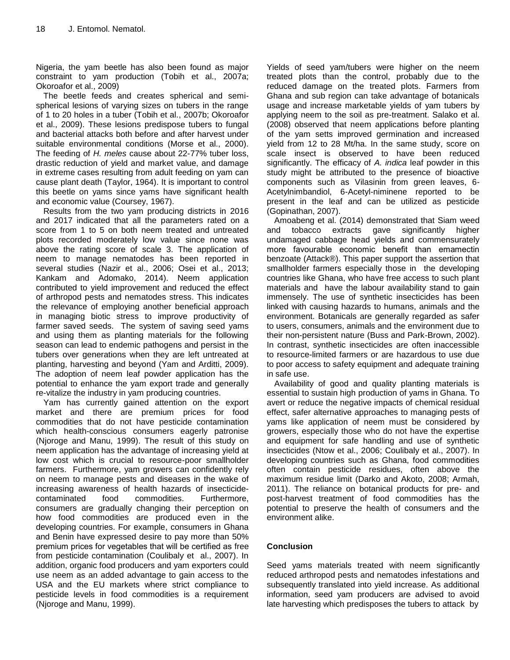Nigeria, the yam beetle has also been found as major constraint to yam production (Tobih et al., 2007a; Okoroafor et al., 2009)

The beetle feeds and creates spherical and semispherical lesions of varying sizes on tubers in the range of 1 to 20 holes in a tuber (Tobih et al., 2007b; Okoroafor et al., 2009). These lesions predispose tubers to fungal and bacterial attacks both before and after harvest under suitable environmental conditions (Morse et al., 2000). The feeding of *H. meles* cause about 22-77% tuber loss, drastic reduction of yield and market value, and damage in extreme cases resulting from adult feeding on yam can cause plant death (Taylor, 1964). It is important to control this beetle on yams since yams have significant health and economic value (Coursey, 1967).

Results from the two yam producing districts in 2016 and 2017 indicated that all the parameters rated on a score from 1 to 5 on both neem treated and untreated plots recorded moderately low value since none was above the rating score of scale 3. The application of neem to manage nematodes has been reported in several studies (Nazir et al., 2006; Osei et al., 2013; Kankam and Adomako, 2014). Neem application contributed to yield improvement and reduced the effect of arthropod pests and nematodes stress. This indicates the relevance of employing another beneficial approach in managing biotic stress to improve productivity of farmer saved seeds. The system of saving seed yams and using them as planting materials for the following season can lead to endemic pathogens and persist in the tubers over generations when they are left untreated at planting, harvesting and beyond (Yam and Arditti, 2009). The adoption of neem leaf powder application has the potential to enhance the yam export trade and generally re-vitalize the industry in yam producing countries.

Yam has currently gained attention on the export market and there are premium prices for food commodities that do not have pesticide contamination which health-conscious consumers eagerly patronise (Njoroge and Manu, 1999). The result of this study on neem application has the advantage of increasing yield at low cost which is crucial to resource-poor smallholder farmers. Furthermore, yam growers can confidently rely on neem to manage pests and diseases in the wake of increasing awareness of health hazards of insecticidecontaminated food commodities. Furthermore, consumers are gradually changing their perception on how food commodities are produced even in the developing countries. For example, consumers in Ghana and Benin have expressed desire to pay more than 50% premium prices for vegetables that will be certified as free from pesticide contamination (Coulibaly et al., 2007). In addition, organic food producers and yam exporters could use neem as an added advantage to gain access to the USA and the EU markets where strict compliance to pesticide levels in food commodities is a requirement (Njoroge and Manu, 1999).

Yields of seed yam/tubers were higher on the neem treated plots than the control, probably due to the reduced damage on the treated plots. Farmers from Ghana and sub region can take advantage of botanicals usage and increase marketable yields of yam tubers by applying neem to the soil as pre-treatment. Salako et al. (2008) observed that neem applications before planting of the yam setts improved germination and increased yield from 12 to 28 Mt/ha. In the same study, score on scale insect is observed to have been reduced significantly. The efficacy of *A. indica* leaf powder in this study might be attributed to the presence of bioactive components such as Vilasinin from green leaves, 6- Acetylnimbandiol, 6-Acetyl-niminene reported to be present in the leaf and can be utilized as pesticide (Gopinathan, 2007).

Amoabeng et al. (2014) demonstrated that Siam weed and tobacco extracts gave significantly higher undamaged cabbage head yields and commensurately more favourable economic benefit than emamectin benzoate (Attack®). This paper support the assertion that smallholder farmers especially those in the developing countries like Ghana, who have free access to such plant materials and have the labour availability stand to gain immensely. The use of synthetic insecticides has been linked with causing hazards to humans, animals and the environment. Botanicals are generally regarded as safer to users, consumers, animals and the environment due to their non-persistent nature (Buss and Park-Brown, 2002). In contrast, synthetic insecticides are often inaccessible to resource-limited farmers or are hazardous to use due to poor access to safety equipment and adequate training in safe use.

Availability of good and quality planting materials is essential to sustain high production of yams in Ghana. To avert or reduce the negative impacts of chemical residual effect, safer alternative approaches to managing pests of yams like application of neem must be considered by growers, especially those who do not have the expertise and equipment for safe handling and use of synthetic insecticides (Ntow et al., 2006; Coulibaly et al., 2007). In developing countries such as Ghana, food commodities often contain pesticide residues, often above the maximum residue limit (Darko and Akoto, 2008; Armah, 2011). The reliance on botanical products for pre- and post-harvest treatment of food commodities has the potential to preserve the health of consumers and the environment alike.

## **Conclusion**

Seed yams materials treated with neem significantly reduced arthropod pests and nematodes infestations and subsequently translated into yield increase. As additional information, seed yam producers are advised to avoid late harvesting which predisposes the tubers to attack by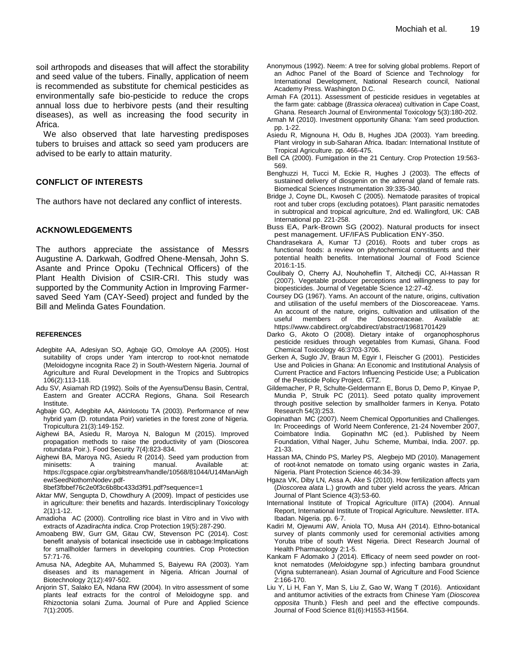soil arthropods and diseases that will affect the storability and seed value of the tubers. Finally, application of neem is recommended as substitute for chemical pesticides as environmentally safe bio-pesticide to reduce the crops annual loss due to herbivore pests (and their resulting diseases), as well as increasing the food security in Africa.

We also observed that late harvesting predisposes tubers to bruises and attack so seed yam producers are advised to be early to attain maturity.

### **CONFLICT OF INTERESTS**

The authors have not declared any conflict of interests.

#### **ACKNOWLEDGEMENTS**

The authors appreciate the assistance of Messrs Augustine A. Darkwah, Godfred Ohene-Mensah, John S. Asante and Prince Opoku (Technical Officers) of the Plant Health Division of CSIR-CRI. This study was supported by the Community Action in Improving Farmersaved Seed Yam (CAY-Seed) project and funded by the Bill and Melinda Gates Foundation.

#### **REFERENCES**

- Adegbite AA, Adesiyan SO, Agbaje GO, Omoloye AA (2005). Host suitability of crops under Yam intercrop to root-knot nematode (Meloidogyne incognita Race 2) in South-Western Nigeria. Journal of Agriculture and Rural Development in the Tropics and Subtropics 106(2):113-118.
- Adu SV, Asiamah RD (1992). Soils of the Ayensu/Densu Basin, Central, Eastern and Greater ACCRA Regions, Ghana. Soil Research Institute.
- Agbaje GO, Adegbite AA, Akinlosotu TA (2003). Performance of new hybrid yam (D. rotundata Poir) varieties in the forest zone of Nigeria. Tropicultura 21(3):149-152.
- Aighewi BA, Asiedu R, Maroya N, Balogun M (2015). Improved propagation methods to raise the productivity of yam (Dioscorea rotundata Poir.). Food Security 7(4):823-834.
- Aighewi BA, Maroya NG, Asiedu R (2014). Seed yam production from minisetts: A training manual. Available at: [https://cgspace.cgiar.org/bitstream/handle/10568/81044/U14ManAigh](https://cgspace.cgiar.org/bitstream/handle/10568/81044/U14ManAighewiSeedNothomNodev.pdf-8bef3fbbef76c2e0f3c6b8bc433d3f91.pdf?sequence=1) [ewiSeedNothomNodev.pdf-](https://cgspace.cgiar.org/bitstream/handle/10568/81044/U14ManAighewiSeedNothomNodev.pdf-8bef3fbbef76c2e0f3c6b8bc433d3f91.pdf?sequence=1)

[8bef3fbbef76c2e0f3c6b8bc433d3f91.pdf?sequence=1](https://cgspace.cgiar.org/bitstream/handle/10568/81044/U14ManAighewiSeedNothomNodev.pdf-8bef3fbbef76c2e0f3c6b8bc433d3f91.pdf?sequence=1)

- Aktar MW, Sengupta D, Chowdhury A (2009). Impact of pesticides use in agriculture: their benefits and hazards. Interdisciplinary Toxicology 2(1):1-12.
- Amadioha AC (2000). Controlling rice blast in Vitro and in Vivo with extracts of *Azadirachta indica*. Crop Protection 19(5):287-290.
- Amoabeng BW, Gurr GM, Gitau CW, Stevenson PC (2014). Cost: benefit analysis of botanical insecticide use in cabbage:Implications for smallholder farmers in developing countries. Crop Protection 57:71-76.
- Amusa NA, Adegbite AA, Muhammed S, Baiyewu RA (2003). Yam diseases and its management in Nigeria. African Journal of Biotechnology 2(12):497-502.
- Anjorin ST, Salako EA, Ndana RW (2004). In vitro assessment of some plants leaf extracts for the control of Meloidogyne spp. and Rhizoctonia solani Zuma. Journal of Pure and Applied Science 7(1):2005.
- Anonymous (1992). Neem: A tree for solving global problems. Report of an Adhoc Panel of the Board of Science and Technology for International Development, National Research council, National Academy Press. Washington D.C.
- Armah FA (2011). Assessment of pesticide residues in vegetables at the farm gate: cabbage (*Brassica oleracea*) cultivation in Cape Coast, Ghana. Research Journal of Environmental Toxicology 5(3):180-202.
- Armah M (2010). Investment opportunity Ghana: Yam seed production. pp. 1-22.
- Asiedu R, Mignouna H, Odu B, Hughes JDA (2003). Yam breeding. Plant virology in sub-Saharan Africa. Ibadan: International Institute of Tropical Agriculture. pp. 466-475.
- Bell CA (2000). Fumigation in the 21 Century. Crop Protection 19:563- 569.
- Benghuzzi H, Tucci M, Eckie R, Hughes J (2003). The effects of sustained delivery of diosgenin on the adrenal gland of female rats. Biomedical Sciences Instrumentation 39:335-340.
- Bridge J, Coyne DL, Kwoseh C (2005). Nematode parasites of tropical root and tuber crops (excluding potatoes). Plant parasitic nematodes in subtropical and tropical agriculture, 2nd ed. Wallingford, UK: CAB International pp. 221-258.
- Buss EA, Park-Brown SG (2002). Natural products for insect pest management. UF/IFAS Publication ENY-350.
- Chandrasekara A, Kumar TJ (2016). Roots and tuber crops as functional foods: a review on phytochemical constituents and their potential health benefits. International Journal of Food Science 2016:1-15.
- Coulibaly O, Cherry AJ, Nouhoheflin T, Aitchedji CC, Al-Hassan R (2007). Vegetable producer perceptions and willingness to pay for biopesticides. Journal of Vegetable Science 12:27[-42.](http://refhub.elsevier.com/S0261-2194(13)00297-4/sref13)
- Coursey DG (1967). Yams. An account of the nature, origins, cultivation and utilisation of the useful members of the Dioscoreaceae. Yams. An account of the nature, origins, cultivation and utilisation of the useful members of the Dioscoreaceae. Available at: useful members of the Dioscoreaceae. Available at: <https://www.cabdirect.org/cabdirect/abstract/19681701429>
- Darko G, Akoto O (2008). Dietary intake of organophosphorus pesticide residues through vegetables from Kumasi, Ghana. Food Chemical Toxicology 46:3703[-3706.](http://refhub.elsevier.com/S0261-2194(13)00297-4/sref15)
- Gerken A, Suglo JV, Braun M, Egyir I, Fleischer G (2001). Pesticides Use and Policies in Ghana: An Economic and Institutional Analysis of Current Practice and Factors Influencing Pesticide Use; a Publication of the Pesticide Policy Project. GTZ.
- Gildemacher, P R, Schulte-Geldermann E, Borus D, Demo P, Kinyae P, Mundia P, Struik PC (2011). Seed potato quality improvement through positive selection by smallholder farmers in Kenya. Potato Research 54(3):253.
- Gopinathan MC (2007). Neem Chemical Opportunities and Challenges. In: Proceedings of World Neem Conference, 21-24 November 2007, Coimbatore India. Gopinathn MC (ed.). Published by Neem Foundation, Vithal Nager, Juhu Scheme, Mumbai, India. 2007. pp. 21-33.
- Hassan MA, Chindo PS, Marley PS, Alegbejo MD (2010). Management of root-knot nematode on tomato using organic wastes in Zaria, Nigeria. Plant Protection Science 46:34-39.
- Hgaza VK, Diby LN, Assa A, Ake S (2010). How fertilization affects yam (*Dioscorea alata* L.) growth and tuber yield across the years. African Journal of Plant Science 4(3):53-60.
- International Institute of Tropical Agriculture (IITA) (2004). Annual Report, International Institute of Tropical Agriculture. Newsletter. IITA. Ibadan. Nigeria. pp. 6-7.
- Kadiri M, Ojewumi AW, Aniola TO, Musa AH (2014). Ethno-botanical survey of plants commonly used for ceremonial activities among Yoruba tribe of south West Nigeria. Direct Research Journal of Health Pharmacology 2:1-5.
- Kankam F Adomako J (2014). Efficacy of neem seed powder on rootknot nematodes (*Meloidogyne* spp.) infecting bambara groundnut (Vigna subterranean). Asian Journal of Agriculture and Food Science 2:166-170.
- Liu Y, Li H, Fan Y, Man S, Liu Z, Gao W, Wang T (2016). Antioxidant and antitumor activities of the extracts from Chinese Yam (*Dioscorea opposita* Thunb.) Flesh and peel and the effective compounds. Journal of Food Science 81(6):H1553-H1564.